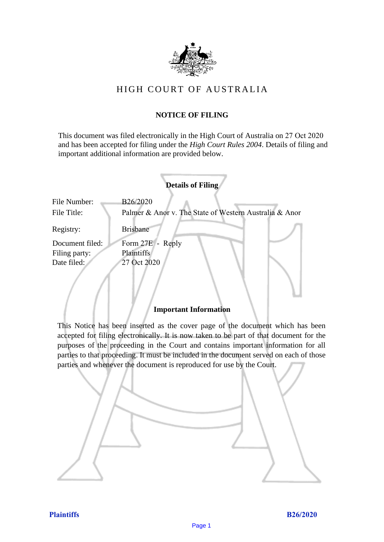

# HIGH COURT OF AU STRALIA HIGH COURT OF AUSTRALIA

## **NOTICE OF FILING** NOTICE OF FILING

This document was filed electronically in the High Court of Australia on 27 Oct 2020 This document was filed electronically in the High Court of Australia 0 and has been accepted for filing under the *High Court Rules 2004*. Details of filing and important additional information are provided below. important additional information are provided below.

| <b>Details of Filing</b>    |                                                                    |  |  |
|-----------------------------|--------------------------------------------------------------------|--|--|
| File Number:<br>File Title: | B26/2020<br>Palmer & Anor v. The State of Western Australia & Anor |  |  |
| Registry:                   | <b>Brisbane</b>                                                    |  |  |
| Document filed:             | Form 27E - Reply                                                   |  |  |
| Filing party:               | <b>Plaintiffs</b>                                                  |  |  |
| Date filed:                 | 27 Oct 2020                                                        |  |  |
|                             |                                                                    |  |  |

## **Important Information** Important Information

This Notice has been inserted as the cover page of the document which has been accepted for filing electronically. It is now taken to be part of that document for the purposes of the proceeding in the Court and contains important information for all parties to that proceeding. It must be included in the document served on each of those parties and whenever the document is reproduced for use by the Court. parties and whenever the document is reproduced for use by the Court

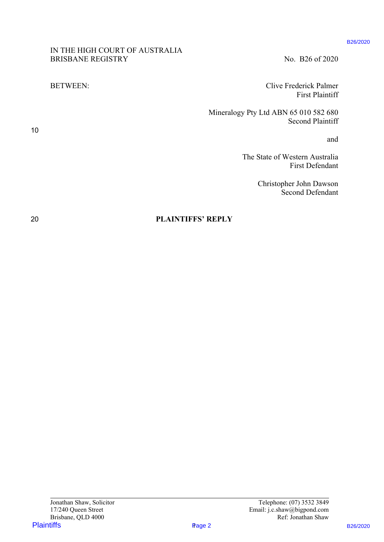#### B26/2020

IN THE HIGH COURT OF AUSTRALIA IN THE HIGH COURT OF AUSTRALIA BRISBANE REGISTRY No. B26 of 2020

BETWEEN: Clive Frederick Palmer BETWEEN: Clive Frederick Palmer First Plaintiff First Plaintiff

Mineralogy Pty Ltd ABN 65 010 582 680 Mineralogy Pty Ltd ABN 65 010 582 680 Second Plaintiff Second Plaintiff PLATE THE INCH COURT OF AUSTRALIA<br>
BRISBANE REGISTRY<br>
HITTWIGH:<br>
PLAYERS ARE CHIVE THE PROPERT TITES PRESS ARE CHIVE TO THE PROPERT THE PROPERT THE PROPERT DESCRIPTION<br>
The State of Vesters Assembly Page 2020<br>
The State of

and and

The State of Western Australia The State of Western Australia First Defendant First Defendant

> Christopher John Dawson Christopher John Dawson Second Defendant Second Defendant

20 **PLAINTIFFS' REPLY** 20 PLAINTIFFS' REPLY

10 10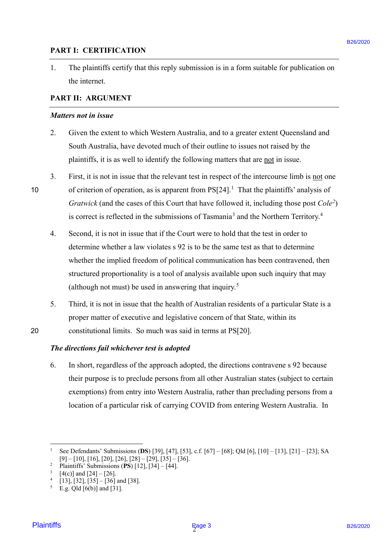### **PART I: CERTIFICATION** PART I: CERTIFICATION

1. The plaintiffs certify that this reply submission is in a form suitable for publication on 1. The plaintiffs certify that this reply submission is in a form suitable for publication on the internet. the internet.

## **PART II: ARGUMENT** PART Il: ARGUMENT

#### *Matters not in issue* Matters not in issue

- 2. Given the extent to which Western Australia, and to a greater extent Queensland and 2. Given the extent to which Western Australia, and to a greater extent Queensland and South Australia, have devoted much of their outline to issues not raised by the South Australia, have devoted much of their outline to issues not raised by the plaintiffs, it is as well to identify the following matters that are not in issue.
- 3. First, it is not in issue that the relevant test in respect of the intercourse limb is not one 10 of criterion of operation, as is apparent from  $PS[24]$ .<sup>1</sup> That the plaintiffs' analysis of *Gratwick* (and the cases of this Court that have followed it, including those post *Cole2*) Gratwick (and the cases of this Court that have followed it, including those post Cole') is correct is reflected in the submissions of Tasmania<sup>3</sup> and the Northern Territory.<sup>4</sup>
- 4. Second, it is not in issue that if the Court were to hold that the test in order to Second, it is not in issue that if the Court were to hold that the test in order to determine whether a law violates s 92 is to be the same test as that to determine determine whether a law violates <sup>s</sup> 92 is to be the same test as that to determine whether the implied freedom of political communication has been contravened, then whether the implied freedom of political communication has been contravened, then structured proportionality is a tool of analysis available upon such inquiry that may structured proportionality is a tool of analysis available upon such inquiry that may (although not must) be used in answering that inquiry.<sup>5</sup> (although not must) be used in answering that inquiry.° **PART 1: CERTIFICATION**<br>
1. The plaintiffs excitly dut this reply submission is in a form suitable for publication on<br>
the internet.<br> **PART 11: ARCUMENT**<br> **PART 16:** The place of the state of the state of the state of the
- 5. Third, it is not in issue that the health of Australian residents of a particular State is a Third, it is not in issue that the health of Australian residents of a particular State is a proper matter of executive and legislative concern of that State, within its proper matter of executive and legislative concern of that State, within its 20 constitutional limits. So much was said in terms at PS[20]. constitutional limits. So much was said in terms at PS[20].

## *The directions fail whichever test is adopted* The directions fail whichever test is adopted

6. In short, regardless of the approach adopted, the directions contravene s 92 because 6. In short, regardless of the approach adopted, the directions contravene <sup>s</sup> <sup>92</sup> because their purpose is to preclude persons from all other Australian states (subject to certain their purpose is to preclude persons from all other Australian states (subject to certain exemptions) from entry into Western Australia, rather than precluding persons from a exemptions) from entry into Western Australia, rather than precluding persons from a location of a particular risk of carrying COVID from entering Western Australia. In location of a particular risk of carrying COVID from entering Western Australia. In

20

**Plaintiffs** 

<sup>1</sup> See Defendants' Submissions (**DS**) [39], [47], [53], c.f. [67] – [68]; Qld [6], [10] – [13], [21] – [23]; SA See Defendants' Submissions (DS) [39], [47], [53], c-f. [67] —[68]; Qld [6], [10] —[13], [21] —[23]; SA [9] – [10], [16], [20], [26], [28] – [29], [35] – [36]. [9] — [10], [16], [20], [26], [28] — [29], [35] — [36].

<sup>&</sup>lt;sup>2</sup> Plaintiffs' Submissions (PS) [12], [34] – [44].  $\begin{array}{c} 2 \\ 3 \\ 4 \\ 6 \end{array}$ 

 $3 \quad [4(c)]$  and  $[24] - [26]$ .

 $4$  [13], [32], [35] – [36] and [38].

 $5 E.g. Qld [6(b)]$  and [31].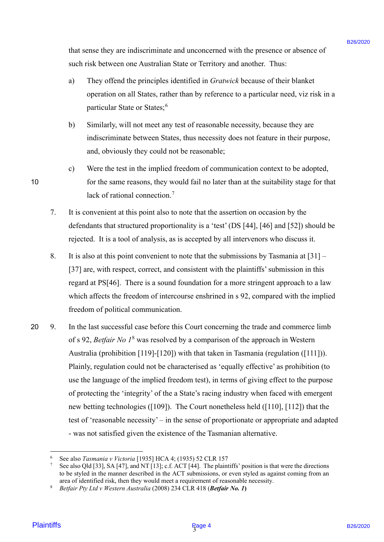that sense they are indiscriminate and unconcerned with the presence or absence of such risk between one Australian State or Territory and another. Thus: such risk between one Australian State or Territory and another. Thus:

- a) They offend the principles identified in *Gratwick* because of their blanket operation on all States, rather than by reference to a particular need, viz risk in a operation on all States, rather than by reference to a particular need, viz risk in aparticular State or States;<sup>6</sup>
- b) Similarly, will not meet any test of reasonable necessity, because they are b) Similarly, will not meet any test of reasonable necessity, because they are indiscriminate between States, thus necessity does not feature in their purpose, indiscriminate between States, thus necessity does not feature in their purpose, and, obviously they could not be reasonable;
- and, obviously they could not be reasonable;<br>c) Were the test in the implied freedom of communication context to be adopted, 10 for the same reasons, they would fail no later than at the suitability stage for that for the same reasons, they would fail no later than at the suitability stage for that lack of rational connection.<sup>7</sup>
	- 7. It is convenient at this point also to note that the assertion on occasion by the It is convenient at this point also to note that the assertion on occasion by the defendants that structured proportionality is a 'test' (DS [44], [46] and [52]) should be defendants that structured proportionality is a 'test' (DS [44], [46] and [52]) should be rejected. It is a tool of analysis, as is accepted by all intervenors who discuss it. rejected. It is <sup>a</sup> tool of analysis, as is accepted by all intervenors who discuss it.
	- 8. It is also at this point convenient to note that the submissions by Tasmania at [31] It is also at this point convenient to note that the submissions by Tasmania at [31] [37] are, with respect, correct, and consistent with the plaintiffs' submission in this regard at PS[46]. There is a sound foundation for a more stringent approach to a law regard at PS[46]. There is a sound foundation for <sup>a</sup> more stringent approach to a law which affects the freedom of intercourse enshrined in s 92, compared with the implied freedom of political communication. freedom of political communication.
- 20 9. In the last successful case before this Court concerning the trade and commerce limb In the last successful case before this Court concerning the trade and commerce limb of s 92, *Betfair No 1<sup>8</sup>* was resolved by a comparison of the approach in Western Australia (prohibition [119]-[120]) with that taken in Tasmania (regulation ([111])). Australia (prohibition [119]-[120]) with that taken in Tasmania (regulation ([111])). Plainly, regulation could not be characterised as 'equally effective' as prohibition (to Plainly, regulation could not be characterised as 'equally effective' as prohibition (to use the language of the implied freedom test), in terms of giving effect to the purpose use the language of the implied freedom test), in terms of giving effect to the purpose of protecting the 'integrity' of the a State's racing industry when faced with emergent of protecting the 'integrity' of the a State's racing industry when faced with emergent new betting technologies ([109]). The Court nonetheless held ([110], [112]) that the new betting technologies ([109]). The Court nonetheless held ({110], [112]) that the test of 'reasonable necessity' – in the sense of proportionate or appropriate and adapted test of 'reasonable necessity' — in the sense of proportionate or appropriate and adapted - was not satisfied given the existence of the Tasmanian alternative. - was not satisfied given the existence of the Tasmanian alternative. ftur sense they are indiscriminate and unconcerned with the presence or absence of<br>such risk between one Asterdation Shito or Torichay and another. Thus<br>
2) They offerd the principles identified in (*formic*) chemics of t 20

10

<sup>&</sup>lt;sup>6</sup> See also *Tasmania v Victoria* [1935] HCA 4; (1935) 52 CLR 157

<sup>&</sup>lt;sup>7</sup> See also Qld [33], SA [47], and NT [13]; c.f. ACT [44]. The plaintiffs' position is that were the directions to be styled in the manner described in the ACT submissions, or even styled as against coming from an to be styled in the manner described in the ACT submissions, or even styled as against coming from an<br>area of identified risk, then they would meet a requirement of reasonable necessity.

<sup>8</sup> *Betfair Pty Ltd v Western Australia* (2008) 234 CLR 418 (*Betfair No. 1***)** Betfair Pty Ltd v Western Australia (2008) 234 CLR 418 (Betfair No. 1)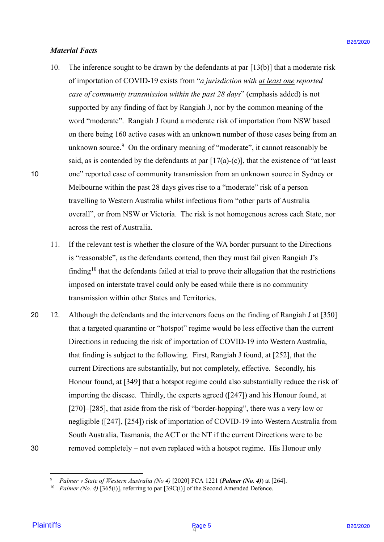#### *Material Facts* Material Facts

- 10. The inference sought to be drawn by the defendants at par [13(b)] that a moderate risk 10. The inference sought to be drawn by the defendants at par [13(b)] that <sup>a</sup> moderate risk of importation of COVID-19 exists from "*a jurisdiction with at least one reported*  of importation of COVID-19 exists from "a jurisdiction with at least one reported case of community transmission within the past 28 days" (emphasis added) is not supported by any finding of fact by Rangiah J, nor by the common meaning of the supported by any finding of fact by Rangiah J, nor by the common meaning of the word "moderate". Rangiah J found a moderate risk of importation from NSW based word "moderate". Rangiah <sup>J</sup> found a moderate risk of importation from NSW based on there being 160 active cases with an unknown number of those cases being from an unknown source. $9$  On the ordinary meaning of "moderate", it cannot reasonably be said, as is contended by the defendants at par  $[17(a)-(c)]$ , that the existence of "at least 10 one" reported case of community transmission from an unknown source in Sydney or Melbourne within the past 28 days gives rise to a "moderate" risk of a person Melbourne within the past 28 days gives rise to a "moderate" risk of <sup>a</sup> person travelling to Western Australia whilst infectious from "other parts of Australia travelling to Western Australia whilst infectious from "other parts of Australia overall", or from NSW or Victoria. The risk is not homogenous across each State, nor across the rest of Australia. across the rest of Australia. *Harrerial Facts*<br>10. The laftscare sought to be drawn by the definedant at par [13(b)] that a moderate of<br>10. The laftscare sought to be drawn by the definedant at part [13(b)] that a moderate of<br>12 of importation of COV
	- 11. If the relevant test is whether the closure of the WA border pursuant to the Directions If the relevant test is whether the closure of the WA border pursuant to the Directions is "reasonable", as the defendants contend, then they must fail given Rangiah J's is "reasonable", as the defendants contend, then they must fail given Rangiah J's finding<sup>10</sup> that the defendants failed at trial to prove their allegation that the restrictions imposed on interstate travel could only be eased while there is no community imposed on interstate travel could only be eased while there is no community transmission within other States and Territories. transmission within other States and Territories. 11.
- 20 12. Although the defendants and the intervenors focus on the finding of Rangiah J at [350] Although the defendants and the intervenors focus on the finding of Rangiah <sup>J</sup> at [350] that a targeted quarantine or "hotspot" regime would be less effective than the current that <sup>a</sup> targeted quarantine or "hotspot" regime would be less effective than the current Directions in reducing the risk of importation of COVID-19 into Western Australia, Directions in reducing the risk of importation of COVID-19 into Western Australia, that finding is subject to the following. First, Rangiah J found, at [252], that the that finding is subject to the following. First, Rangiah <sup>J</sup> found, at [252], that the current Directions are substantially, but not completely, effective. Secondly, his current Directions are substantially, but not completely, effective. Secondly, his Honour found, at [349] that a hotspot regime could also substantially reduce the risk of Honour found, at [349] that a hotspot regime could also substantially reduce the risk of importing the disease. Thirdly, the experts agreed ([247]) and his Honour found, at importing the disease. Thirdly, the experts agreed ([247]) and his Honour found, at [270]–[285], that aside from the risk of "border-hopping", there was a very low or negligible ([247], [254]) risk of importation of COVID-19 into Western Australia from negligible ([247], [254]) risk of importation of COVID-19 into Western Australia from South Australia, Tasmania, the ACT or the NT if the current Directions were to be South Australia, Tasmania, the ACT or the NT ifthe current Directions were to be 30 removed completely – not even replaced with a hotspot regime. His Honour only removed completely — not even replaced with a hotspot regime. His Honour only  $20 \quad 12.$ 30

10

9

<sup>&</sup>lt;sup>9</sup> *Palmer v State of Western Australia (No 4)* [2020] FCA 1221 (Palmer (No. 4)) at [264].

<sup>&</sup>lt;sup>10</sup> Palmer (No. 4) [365(i)], referring to par [39C(i)] of the Second Amended Defence.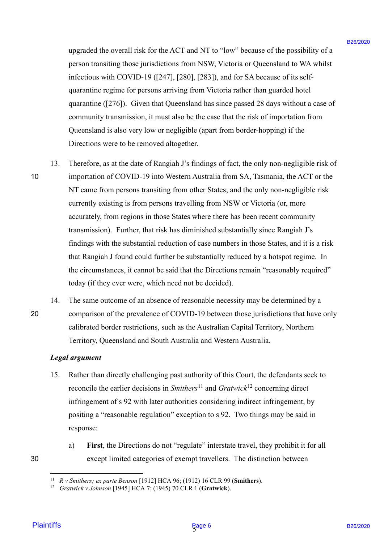upgraded the overall risk for the ACT and NT to "low" because of the possibility of a upgraded the overall risk for the ACT and NT to "low" because of the possibility of <sup>a</sup> person transiting those jurisdictions from NSW, Victoria or Queensland to WA whilst person transiting those jurisdictions from NSW, Victoria or Queensland to WA whilst infectious with COVID-19 ([247], [280], [283]), and for SA because of its self-infectious with COVID-19 ([247], [280], [283]), and for SA because of its selfquarantine regime for persons arriving from Victoria rather than guarded hotel quarantine regime for persons arriving from Victoria rather than guarded hotel quarantine ([276]). Given that Queensland has since passed 28 days without a case of quarantine ([276]). Given that Queensland has since passed 28 days without <sup>a</sup> case of community transmission, it must also be the case that the risk of importation from community transmission, it must also be the case that the risk of importation from Queensland is also very low or negligible (apart from border-hopping) if the Queensland is also very low or negligible (apart from border-hopping) if the Directions were to be removed altogether. Directions were to be removed altogether.

- 13. Therefore, as at the date of Rangiah J's findings of fact, the only non-negligible risk of 13. Therefore, as at the date of Rangiah J's findings of fact, the only non-negligible risk of 10 importation of COVID-19 into Western Australia from SA, Tasmania, the ACT or the importation of COVID-19 into Western Australia from SA, Tasmania, the ACT or the NT came from persons transiting from other States; and the only non-negligible risk NT came from persons transiting from other States; and the only non-negligible risk currently existing is from persons travelling from NSW or Victoria (or, more currently existing is from persons travelling from NSW or Victoria (or, more accurately, from regions in those States where there has been recent community accurately, from regions in those States where there has been recent community transmission). Further, that risk has diminished substantially since Rangiah J's transmission). Further, that risk has diminished substantially since Rangiah J's findings with the substantial reduction of case numbers in those States, and it is a risk findings with the substantial reduction of case numbers in those States, and it is a risk that Rangiah J found could further be substantially reduced by a hotspot regime. In that Rangiah J found could further be substantially reduced by <sup>a</sup> hotspot regime. In the circumstances, it cannot be said that the Directions remain "reasonably required" the circumstances, it cannot be said that the Directions remain "reasonably required" today (if they ever were, which need not be decided). today (if they ever were, which need not be decided).<br>14. The same outcome of an absence of reasonable necessity may be determined by a ingended the evental risk for the ACT mot NT to "low" because of the prosching of prices in the simulation for NSW (Votini and Wave the actual to Wave Walistan Control (1200). [2391], 2491] (23921), and for SA becomes of 10
- 20 comparison of the prevalence of COVID-19 between those jurisdictions that have only comparison of the prevalence of COVID-19 between those jurisdictions that have only calibrated border restrictions, such as the Australian Capital Territory, Northern calibrated border restrictions, such as the Australian Capital Territory, Northern Territory, Queensland and South Australia and Western Australia. Territory, Queensland and South Australia and Western Australia. 20 14.

#### *Legal argument* Legal argument

- 15. Rather than directly challenging past authority of this Court, the defendants seek to 15. Rather than directly challenging past authority of this Court, the defendants seek to reconcile the earlier decisions in  $Smithers<sup>11</sup>$  and  $Gratwick<sup>12</sup>$  concerning direct infringement of s 92 with later authorities considering indirect infringement, by infringement of <sup>s</sup> 92 with later authorities considering indirect infringement, by positing a "reasonable regulation" exception to s 92. Two things may be said in positing <sup>a</sup> "reasonable regulation" exception to <sup>s</sup> 92. Two things may be said in response: response:
- 30

a) First, the Directions do not "regulate" interstate travel, they prohibit it for all 30 except limited categories of exempt travellers. The distinction between except limited categories of exempt travellers. The distinction between

<sup>&</sup>lt;sup>11</sup> *R v Smithers; ex parte Benson* [1912] HCA 96; (1912) 16 CLR 99 (Smithers).

<sup>12</sup> *Gratwick v Johnson* [1945] HCA 7; (1945) 70 CLR 1 (**Gratwick**). 2 Gratwick v Johnson [1945] HCA 7; (1945) 70 CLR 1 (Gratwick).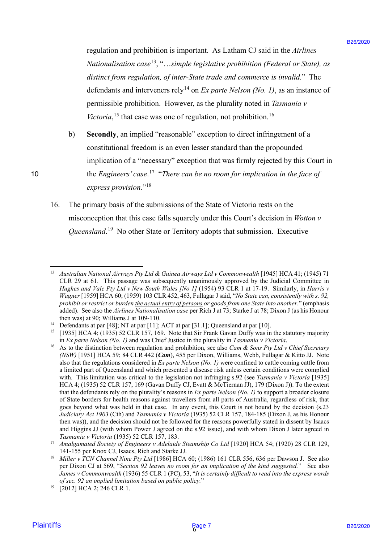regulation and prohibition is important. As Latham CJ said in the *Airlines*  regulation and prohibition is important. As Latham CJ said in the Airlines *Nationalisation case*<sup>13</sup>, "...simple legislative prohibition (Federal or State), as distinct from regulation, of inter-State trade and commerce is invalid." The defendants and interveners rely<sup>14</sup> on *Ex parte Nelson (No. 1)*, as an instance of permissible prohibition. However, as the plurality noted in *Tasmania v*  permissible prohibition. However, as the plurality noted in Zasmania v Victoria,<sup>15</sup> that case was one of regulation, not prohibition.<sup>16</sup>

- b) Secondly, an implied "reasonable" exception to direct infringement of a constitutional freedom is an even lesser standard than the propounded constitutional freedom is an even lesser standard than the propounded implication of a "necessary" exception that was firmly rejected by this Court in implication of a "necessary" exception that was firmly rejected by this Court in the *Engineers' case*. <sup>17</sup> 10 "*There can be no room for implication in the face of*  the Engineers' case.'!' "There can be no roomfor implication in theface of express provision."<sup>18</sup>
	- 16. The primary basis of the submissions of the State of Victoria rests on the The primary basis of the submissions of the State of Victoria rests on the misconception that this case falls squarely under this Court's decision in *Wotton v*  misconception that this case falls squarely under this Court's decision in Wotton v*Queensland*. <sup>19</sup> No other State or Territory adopts that submission. Executive Queensland.'° No other State or Territory adopts that submission. Executive 16.

<sup>&</sup>lt;sup>13</sup> Australian National Airways Pty Ltd & Guinea Airways Ltd v Commonwealth [1945] HCA 41; (1945) 71 CLR 29 at 61. This passage was subsequently unanimously approved by the Judicial Committee in CLR 29 at 61. This passage was subsequently unanimously approved by the Judicial Committee in *Hughes and Vale Pty Ltd v New South Wales [No 1]* (1954) 93 CLR 1 at 17-19. Similarly, in *Harris v*  Hughes and Vale Pty Ltd v New South Wales [No 1] (1954) 93 CLR 1 at 17-19. Similarly, in Harris v Wagner [1959] HCA 60; (1959) 103 CLR 452, 463, Fullagar J said, "No State can, consistently with s. 92, prohibit or restrict or burden the actual entry of persons or goods from one State into another." (emphasis added). See also the *Airlines Nationalisation case* per Rich J at 73; Starke J at 78; Dixon J (as his Honour added). See also the Airlines Nationalisation case per Rich J at 73; Starke J at 78; Dixon J (as his Honour wthen was) at 90; Williams J at 109-110.

then was) at 90; Williams J at 109-110.<br><sup>14</sup> Defendants at par [48]; NT at par [11]; ACT at par [31.1]; Queensland at par [10].

<sup>&</sup>lt;sup>15</sup> [1935] HCA 4; (1935) 52 CLR 157, 169. Note that Sir Frank Gavan Duffy was in the statutory majority in *Ex parte Nelson (No. 1)* and was Chief Justice in the plurality in *Tasmania v Victoria*.

<sup>&</sup>lt;sup>16</sup> As to the distinction between regulation and prohibition, see also *Cam & Sons Pty Ltd v Chief Secretary (NSW)* [1951] HCA 59; 84 CLR 442 (*Cam*), 455 per Dixon, Williams, Webb, Fullagar & Kitto JJ. Note (NSW) [1951] HCA 59; 84 CLR 442 (Cam), 455 per Dixon, Williams, Webb, Fullagar & Kitto JJ. Note also that the regulations considered in *Ex parte Nelson (No. 1)* were confined to cattle coming cattle from also that the regulations considered in Ex parte Nelson (No. 1) were confined to cattle coming cattle from a limited part of Queensland and which presented a disease risk unless certain conditions were complied a limited part of Queensland and which presented a disease risk unless certain conditions were complied with. This limitation was critical to the legislation not infringing s.92 (see *Tasmania v Victoria* [1935] with. This limitation was critical to the legislation not infringing s.92 (see Tasmania v Victoria [1935] HCA 4; (1935) 52 CLR 157, 169 (Gavan Duffy CJ, Evatt & McTiernan JJ), 179 (Dixon J)). To the extent HCA 4; (1935) 52 CLR 157, 169 (Gavan Duffy CJ, Evatt & McTiernan JJ), 179 (Dixon J)). To the extent that the defendants rely on the plurality's reasons in *Ex parte Nelson (No. 1)* to support a broader closure that the defendants rely on the plurality's reasons in Ex parte Nelson (No. 1) to support a broader closure of State borders for health reasons against travellers from all parts of Australia, regardless of risk, that of State borders for health reasons against travellers from all parts of Australia, regardless of risk, that goes beyond what was held in that case. In any event, this Court is not bound by the decision (s.23 goes beyond what was held in that case. In any event, this Court is not bound by the decision (s.23 *Judiciary Act 1903* (Cth) and *Tasmania v Victoria* (1935) 52 CLR 157, 184-185 (Dixon J, as his Honour Judiciary Act 1903 (Cth) and Tasmania v Victoria (1935) 52 CLR 157, 184-185 (Dixon J, as his Honour then was)), and the decision should not be followed for the reasons powerfully stated in dissent by Isaacs then was)), and the decision should not be followed for the reasons powerfully stated in dissent by Isaacs and Higgins JJ (with whom Power J agreed on the s.92 issue), and with whom Dixon J later agreed in and Higgins JJ (with whom Power J agreed on the s.92 issue), and with whom Dixon J later agreed in *Tasmania v Victoria* (1935) 52 CLR 157, 183. Tasmania v Victoria (1935) 52 CLR 157, 183. regulation and probabilities is important. As Luchard CJ and in the distinction<br>
Natural plaintif similar contribution is important. As Luchard Control in the distinction<br>
Simulation is the plaintiff similar control in th  $16$ 

<sup>&</sup>lt;sup>17</sup> Amalgamated Society of Engineers v Adelaide Steamship Co Ltd [1920] HCA 54; (1920) 28 CLR 129, 141-155 per Knox CJ, Isaacs, Rich and Starke JJ. 141-155 per Knox CJ, Isaacs, Rich and Starke JJ.

<sup>&</sup>lt;sup>18</sup> Miller v TCN Channel Nine Pty Ltd [1986] HCA 60; (1986) 161 CLR 556, 636 per Dawson J. See also per Dixon CJ at 569, "*Section 92 leaves no room for an implication of the kind suggested.*" See also per Dixon CJ at 569, "Section 92 leaves no room for an implication of the kind suggested." See also *James v Commonwealth* (1936) 55 CLR 1 (PC), 53, "*It is certainly difficult to read into the express words*  James v Commonwealth (1936) 55 CLR 1 (PC), 53, "It is certainly difficult to read into the express words *of sec. 92 an implied limitation based on public policy.*"

<sup>19</sup> [2012] HCA 2; 246 CLR 1. [2012] HCA 2; 246 CLR 1. 19